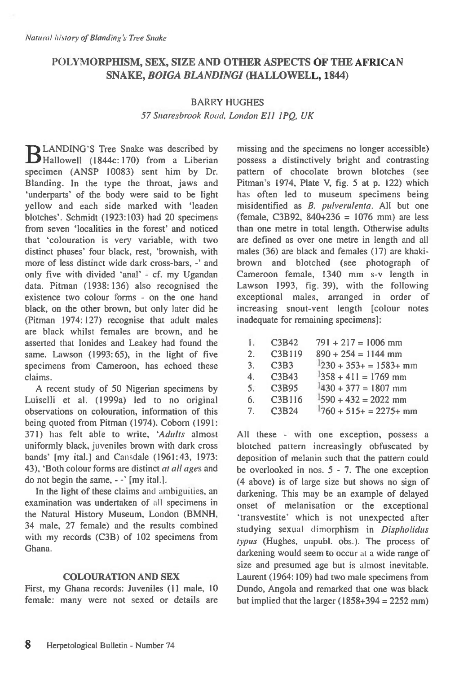# **POLYMORPHISM, SEX, SIZE AND OTHER ASPECTS OF THE AFRICAN SNAKE,** *BOIGA BLANDINGI* **(HALLOWELL, 1844)**

## BARRY HUGHES

*57 Snaresbrook Road, London Ell 1PQ, UK* 

**12 LANDING'S Tree Snake was described by** D Hallowell (1844c: 170) from a Liberian specimen (ANSP 10083) sent him by Dr. Blanding. In the type the throat, jaws and `underparts' of the body were said to be light yellow and each side marked with 'leaden blotches'. Schmidt (1923:103) had 20 specimens from seven 'localities in the forest' and noticed that `colouration is very variable, with two distinct phases' four black, rest, 'brownish, with more of less distinct wide dark cross-bars, -' and only five with divided 'anal' - cf. my Ugandan data. Pitman (1938: 136) also recognised the existence two colour forms - on the one hand black, on the other brown, but only later did he (Pitman 1974: 127) recognise that adult males are black whilst females are brown, and he asserted that lonides and Leakey had found the same. Lawson (1993:65), in the light of five specimens from Cameroon, has echoed these claims.

A recent study of 50 Nigerian specimens by Luiselli et al. (1999a) led to no original observations on colouration, information of this being quoted from Pitman (1974). Coborn (1991: 371) has felt able to write, *'Adults* almost uniformly black, juveniles brown with dark cross bands' [my ital.] and Cansdale (1961:43, 1973: 43), 'Both colour forms are distinct *at all ages* and do not begin the same, - -' [my ital.].

In the light of these claims and ambiguities, an examination was undertaken of all specimens in the Natural History Museum, London (BMNH, 34 male, 27 female) and the results combined with my records (C3B) of 102 specimens from Ghana.

### **COLOURATION AND SEX**

First, my Ghana records: Juveniles **(11** male, 10 female: many were not sexed or details are missing and the specimens no longer accessible) possess a distinctively bright and contrasting pattern of chocolate brown blotches (see Pitman's 1974, Plate V, fig. 5 at p. 122) which has often led to museum specimens being misidentified as *B. pulverulenta.* All but one (female, C3B92,  $840+236 = 1076$  mm) are less than one metre in total length. Otherwise adults are defined as over one metre in length and all males (36) are black and females (17) are khakibrown and blotched (see photograph of Cameroon female, 1340 mm s-v length in Lawson 1993, fig. 39), with the following exceptional males, arranged in order of increasing snout-vent length [colour notes inadequate for remaining specimens]:

| Ι.          | C3B42  | $791 + 217 = 1006$ mm    |
|-------------|--------|--------------------------|
| 2.          | C3B119 | $890 + 254 = 1144$ mm    |
| 3.          | C3B3   | $1230 + 353 + 1583 +$ mm |
| 4.          | C3B43  | $1358 + 411 = 1769$ mm   |
| 5.          | C3B95  | $1430 + 377 = 1807$ mm   |
| 6.          | C3B116 | $1590 + 432 = 2022$ mm   |
| $7^{\circ}$ | C3B24  | $1760 + 515 + 2275 +$ mm |

All these - with one exception, possess a blotched pattern increasingly obfuscated by deposition of melanin such that the pattern could be overlooked in nos. 5 - 7. The one exception (4 above) is of large size but shows no sign of darkening. This may be an example of delayed onset of melanisation or the exceptional `transvestite' which is not unexpected after studying sexual dimorphism in *Dispholidus*  typus (Hughes, unpubl. obs.). The process of darkening would seem to occur at a wide range of size and presumed age but is almost inevitable. Laurent (1964: 109) had two male specimens from Dundo, Angola and remarked that one was black but implied that the larger  $(1858+394 = 2252$  mm)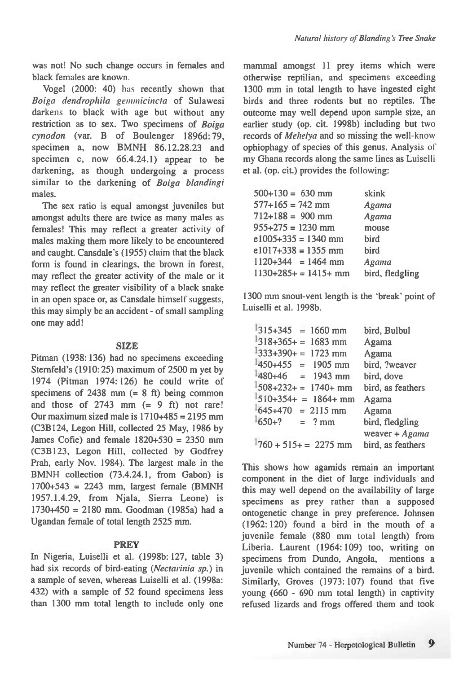was not! No such change occurs in females and black females are known.

Vogel (2000: 40) has recently shown that *Boiga dendrophila genzmicincta* of Sulawesi darkens to black with age but without any restriction as to sex. Two specimens of *Boiga cynodon* (var. B of Boulenger 1896d: 79, specimen a, now BMNH 86.12.28.23 and specimen c, now 66.4.24.1) appear to be darkening, as though undergoing a process similar to the darkening of *Boiga blandingi*  males.

The sex ratio is equal amongst juveniles but amongst adults there are twice as many males as females! This may reflect a greater activity of males making them more likely to be encountered and caught. Cansdale's (1955) claim that the black form is found in clearings, the brown in forest, may reflect the greater activity of the male or it may reflect the greater visibility of a black snake in an open space or, as Cansdale himself suggests, this may simply be an accident - of small sampling one may add!

### SIZE

Pitman (1938: 136) had no specimens exceeding Sternfeld's (1910:25) maximum of 2500 m yet by 1974 (Pitman 1974: 126) he could write of specimens of  $2438$  mm  $(= 8 \text{ ft})$  being common and those of  $2743$  mm  $(= 9 \text{ ft})$  not rare! Our maximum sized male is  $1710+485 = 2195$  mm (C3B124, Legon Hill, collected 25 May, 1986 by James Cofie) and female  $1820+530 = 2350$  mm (C3B123, Legon Hill, collected by Godfrey Prah, early Nov. 1984). The largest male in the BMNH collection (73.4.24.1, from Gabon) is 1700+543 = 2243 mm, largest female (BMNH 1957.1.4.29, from Njala, Sierra Leone) is 1730+450 = 2180 mm. Goodman (1985a) had a Ugandan female of total length 2525 mm.

### **PREY**

In Nigeria, Luiselli et al. (1998b: 127, table 3) had six records of bird-eating *(Nectarinia sp.) in a* sample of seven, whereas Luiselli et al. (1998a: 432) with a sample of 52 found specimens less than 1300 mm total length to include only one mammal amongst 11 prey items which were otherwise reptilian, and specimens exceeding 1300 mm in total length to have ingested eight birds and three rodents but no reptiles. The outcome may well depend upon sample size, an earlier study (op. cit. 1998b) including but two records of *Mehelya* and so missing the well-know ophiophagy of species of this genus. Analysis of my Ghana records along the same lines as Luiselli et al. (op. cit.) provides the following:

| $500+130 = 630$ mm     | skink           |
|------------------------|-----------------|
| $577+165 = 742$ mm     | Agama           |
| $712 + 188 = 900$ mm   | Agama           |
| $955+275 = 1230$ mm    | mouse           |
| $e1005+335 = 1340$ mm  | bird            |
| $e1017+338 = 1355$ mm  | bird            |
| $1120+344 = 1464$ mm   | Agama           |
| $1130+285+ = 1415+$ mm | bird, fledgling |
|                        |                 |

1300 mm snout-vent length is the 'break' point of Luiselli et al. 1998b.

| $1315+345 = 1660$ mm     | bird, Bulbul      |
|--------------------------|-------------------|
| $1318+365+ = 1683$ mm    | Agama             |
| $1333+390+=1723$ mm      | Agama             |
| $1450+455 = 1905$ mm     | bird, ?weaver     |
| $1480+46 = 1943$ mm      | bird, dove        |
| $1508+232+ = 1740+$ mm   | bird, as feathers |
| $1510+354+ = 1864+$ mm   | Agama             |
| $645+470 = 2115$ mm      | Agama             |
| $1650+? = ? \text{mm}$   | bird, fledgling   |
|                          | weaver $+ Agama$  |
| $1760 + 515 + = 2275$ mm | bird, as feathers |

This shows how agamids remain an important component in the diet of large individuals and this may well depend on the availability of large specimens as prey rather than a supposed ontogenetic change in prey preference. Johnsen (1962: 120) found a bird in the mouth of a juvenile female (880 mm total length) from Liberia. Laurent (1964: 109) too, writing on specimens from Dundo, Angola, mentions a juvenile which contained the remains of a bird. Similarly, Groves (1973: 107) found that five young (660 - 690 mm total length) in captivity refused lizards and frogs offered them and took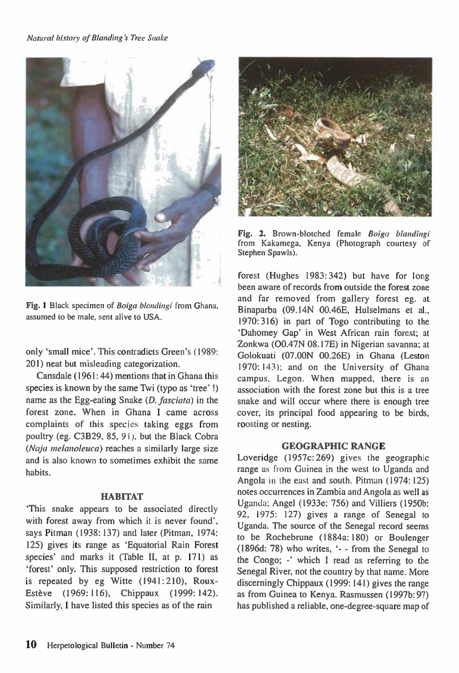

Fig. 1 Black specimen of Boiga blandingi from Ghana, assumed to be male, sent alive to USA.

only 'small mice'. This contradicts Green's (1989: 201) neat but misleading categorization.

Cansdale (1961:44) mentions that in Ghana this species is known by the same Twi (typo as 'tree' !) name as the Egg-eating Snake *(D. fasciata) in* the forest zone. When in Ghana I came across complaints of this species taking eggs from poultry (eg. C3B29, 85, 91), but the Black Cobra *(Naja melanoleuca)* reaches a similarly large size and is also known to sometimes exhibit the same habits.

### **HABITAT**

`This snake appears to be associated directly with forest away from which it is never found', says Pitman (1938: 137) and later (Pitman, 1974: 125) gives its range as 'Equatorial Rain Forest species' and marks it (Table II, at p. 171) as `forest' only. This supposed restriction to forest is repeated by eg Witte (1941: 210), Roux-Estève (1969: 116), Chippaux (1999: 142). Similarly, I have listed this species as of the rain



Fig. 2. Brown-blotched female Boiga blandingi from Kakamega, Kenya (Photograph courtesy of Stephen Spawls).

forest (Hughes 1983:342) but have for long been aware of records from outside the forest zone and far removed from gallery forest eg. at Binaparba (09.14N 00.46E, Hulselmans et al., 1970:316) in part of Togo contributing to the `Dahomey Gap' in West African rain forest; at Zonkwa (00.47N 08.17E) in Nigerian savanna; at Golokuati (07.00N 00.26E) in Ghana (Leston 1970: 143); and on the University of Ghana campus, Legon. When mapped, there is an association with the forest zone but this is a tree snake and will occur where there is enough tree cover, its principal food appearing to be birds, roosting or nesting.

### **GEOGRAPHIC RANGE**

Loveridge (1957c: 269) gives the geographic range as from Guinea in the west to Uganda and Angola in the east and south. Pitman (1974: 125) notes occurrences in Zambia and Angola as well as Uganda: Angel (1933e: 756) and Villiers (1950b: 92, 1975: 127) gives a range of Senegal to Uganda. The source of the Senegal record seems to be Rochebrune (1884a: 180) or Boulenger (1896d: 78) who writes, `- - from the Senegal to the Congo; -' which I read as referring to the Senegal River, not the country by that name. More discerningly Chippaux (1999: 141) gives the range as from Guinea to Kenya. Rasmussen (1997b: 97) has published a reliable, one-degree-square map of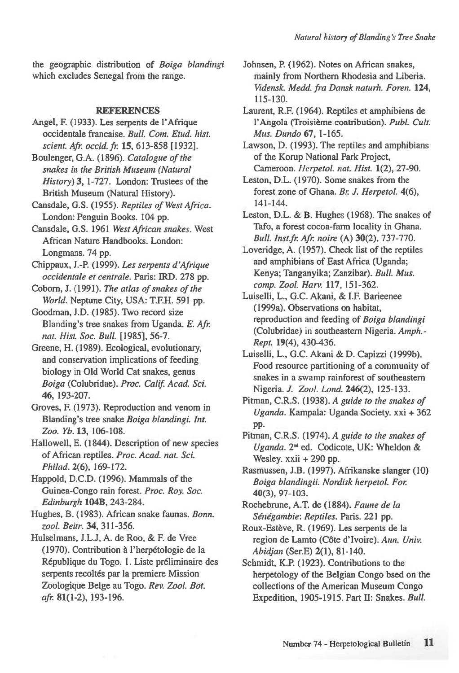the geographic distribution of *Boiga blandingi*  which excludes Senegal from the range.

#### **REFERENCES**

- Angel, F. (1933). Les serpents de l'Afrique occidentale francaise. *Bull. Com. Etud. hist. scient. Afi: occid. fr.* **15,** 613-858 [1932].
- Boulenger, G.A. (1896). *Catalogue of the snakes in the British Museum (Natural History)* **3,** 1-727. London: Trustees of the British Museum (Natural History).
- Cansdale, G.S. (1955). *Reptiles of West Africa.*  London: Penguin Books. 104 pp.
- Cansdale, G.S. 1961 *West African snakes.* West African Nature Handbooks. London: Longmans. 74 pp.
- Chippaux, **J.-P.** (1999). *Les serpents d'Afrique occidentale et centrale.* Paris: IRD. 278 pp.
- Coborn, J. (1991). *The atlas of snakes of the World.* Neptune City, USA: T.F.H. 591 pp.
- Goodman, J.D. (1985). Two record size Blanding's tree snakes from Uganda. *E. Afr. nat. Hist. Soc. Bull.* [1985], 56-7.
- Greene, H. (1989). Ecological, evolutionary, and conservation implications of feeding biology in Old World Cat snakes, genus *Boiga* (Colubridae). *Proc. Calif. Acad. Sci.*  **46,** 193-207.
- Groves, F. (1973). Reproduction and venom in Blanding's tree snake *Boiga blandingi. Int. Zoo. Yb.* **13,** 106-108.
- Hallowell, E. (1844). Description of new species of African reptiles. *Proc. Acad. nat. Sci. Philad.* 2(6), 169-172.
- Happold, D.C.D. (1996). Mammals of the Guinea-Congo rain forest. *Proc. Roy. Soc. Edinburgh* **104B,** 243-284.
- Hughes, B. (1983). African snake faunas. *Bonn. zool. Beitr.* **34,** 311-356.
- Hulselmans, J.L.J, A. de Roo, & F. de Vree (1970). Contribution à l'herpétologie de la Republique du Togo. 1. Liste preliminaire des serpents recoltés par la premiere Mission Zoologique Beige au Togo. *Rev. Zool. Bot. afi:* **81(1-2),** 193-196.
- Johnsen, P. (1962). Notes on African snakes, mainly from Northern Rhodesia and Liberia. *Vidensk. Medd. fra Dansk naturh. Foren.* **124,**  115-130.
- Laurent, R.F. (1964). Reptiles et amphibiens de l'Angola (Troisieme contribution). *Publ. Cult. Mus. Dundo* **67,** 1-165.

Lawson, D. (1993). The reptiles and amphibians of the Korup National Park Project, Cameroon. *Herpetol. nat. Hist.* **1(2),** 27-90.

- Leston, D.L. (1970). Some snakes from the forest zone of Ghana. *Br. J. Herpetol.* 4(6), 141-144.
- Leston, D.L. & B. Hughes (1968). The snakes of Tafo, a forest cocoa-farm locality in Ghana. *Bull. Inst.fr. Afr. noire* (A) **30(2),** 737-770.
- Loveridge, A. (1957). Check list of the reptiles and amphibians of East Africa (Uganda; Kenya; Tanganyika; Zanzibar). *Bull. Mus. comp. Zool. Hart'.* **117,** 151-362.
- Luiselli, L., G.C. Akani, & I.F. Barieenee (1999a). Observations on habitat, reproduction and feeding of *Boiga blandingi*  (Colubridae) in southeastern Nigeria. *Amph.- Rept.* **19(4),** 430-436.
- Luiselli, L., G.C. Akani & D. Capizzi (1999b). Food resource partitioning of a community of snakes in a swamp rainforest of southeastern Nigeria. *J. Zool. Land.* **246(2),** 125-133.
- Pitman, C.R.S. (1938). *A guide to the snakes of Uganda.* Kampala: Uganda Society. xxi + 362 pp.
- Pitman, C.R.S. (1974). *A guide to the snakes of*  Uganda. 2<sup>nd</sup> ed. Codicote, UK: Wheldon & Wesley. xxii + 290 pp.
- Rasmussen, J.B. (1997). Afrikanske slanger (10) *Boiga blandingii. Not-disk herpetol. For*  **40(3),** 97-103.
- Rochebrune, A.T. de (1884). *Faune de la Sinegambie: Reptiles.* Paris. 221 pp.
- Roux-Estève, R. (1969). Les serpents de la region de Lamto (Côte d'Ivoire). Ann. Univ. *Abidjan* (Ser.E) **2(1),** 81-140.
- Schmidt, K.P. (1923). Contributions to the herpetology of the Belgian Congo bsed on the collections of the American Museum Congo Expedition, 1905-1915. Part II: Snakes. *Bull.*